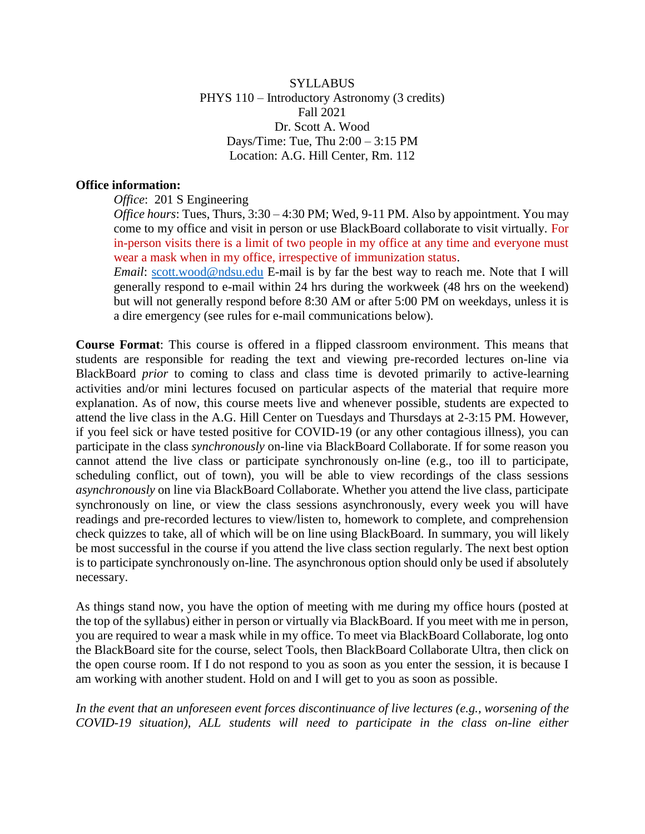**SYLLABUS** PHYS 110 – Introductory Astronomy (3 credits) Fall 2021 Dr. Scott A. Wood Days/Time: Tue, Thu 2:00 – 3:15 PM Location: A.G. Hill Center, Rm. 112

#### **Office information:**

*Office*: 201 S Engineering

*Office hours*: Tues, Thurs, 3:30 – 4:30 PM; Wed, 9-11 PM. Also by appointment. You may come to my office and visit in person or use BlackBoard collaborate to visit virtually. For in-person visits there is a limit of two people in my office at any time and everyone must wear a mask when in my office, irrespective of immunization status.

*Email*: [scott.wood@ndsu.edu](mailto:scott.wood@ndsu.edu) E-mail is by far the best way to reach me. Note that I will generally respond to e-mail within 24 hrs during the workweek (48 hrs on the weekend) but will not generally respond before 8:30 AM or after 5:00 PM on weekdays, unless it is a dire emergency (see rules for e-mail communications below).

**Course Format**: This course is offered in a flipped classroom environment. This means that students are responsible for reading the text and viewing pre-recorded lectures on-line via BlackBoard *prior* to coming to class and class time is devoted primarily to active-learning activities and/or mini lectures focused on particular aspects of the material that require more explanation. As of now, this course meets live and whenever possible, students are expected to attend the live class in the A.G. Hill Center on Tuesdays and Thursdays at 2-3:15 PM. However, if you feel sick or have tested positive for COVID-19 (or any other contagious illness), you can participate in the class *synchronously* on-line via BlackBoard Collaborate. If for some reason you cannot attend the live class or participate synchronously on-line (e.g., too ill to participate, scheduling conflict, out of town), you will be able to view recordings of the class sessions *asynchronously* on line via BlackBoard Collaborate. Whether you attend the live class, participate synchronously on line, or view the class sessions asynchronously, every week you will have readings and pre-recorded lectures to view/listen to, homework to complete, and comprehension check quizzes to take, all of which will be on line using BlackBoard. In summary, you will likely be most successful in the course if you attend the live class section regularly. The next best option is to participate synchronously on-line. The asynchronous option should only be used if absolutely necessary.

As things stand now, you have the option of meeting with me during my office hours (posted at the top of the syllabus) either in person or virtually via BlackBoard. If you meet with me in person, you are required to wear a mask while in my office. To meet via BlackBoard Collaborate, log onto the BlackBoard site for the course, select Tools, then BlackBoard Collaborate Ultra, then click on the open course room. If I do not respond to you as soon as you enter the session, it is because I am working with another student. Hold on and I will get to you as soon as possible.

*In the event that an unforeseen event forces discontinuance of live lectures (e.g., worsening of the COVID-19 situation), ALL students will need to participate in the class on-line either*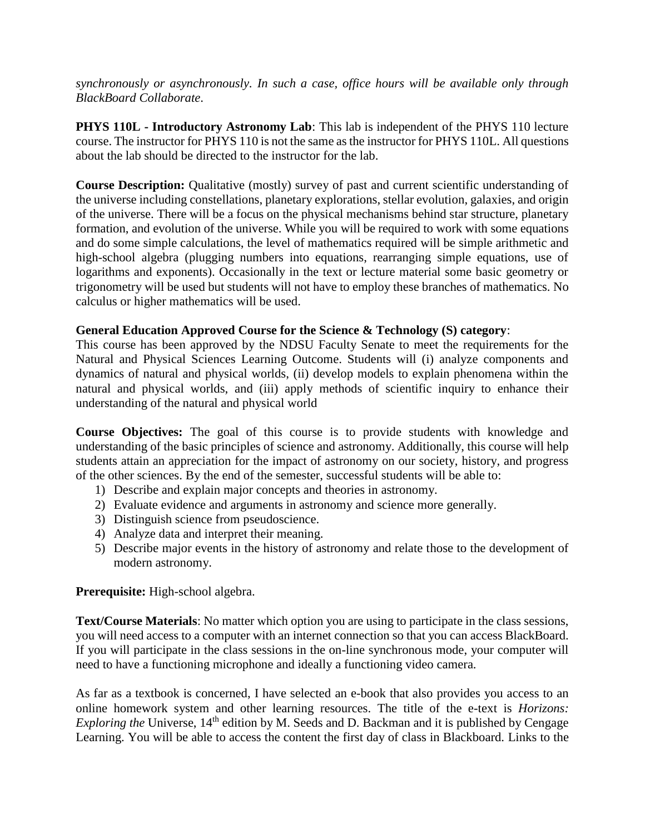*synchronously or asynchronously. In such a case, office hours will be available only through BlackBoard Collaborate*.

**PHYS 110L - Introductory Astronomy Lab**: This lab is independent of the PHYS 110 lecture course. The instructor for PHYS 110 is not the same as the instructor for PHYS 110L. All questions about the lab should be directed to the instructor for the lab.

**Course Description:** Qualitative (mostly) survey of past and current scientific understanding of the universe including constellations, planetary explorations, stellar evolution, galaxies, and origin of the universe. There will be a focus on the physical mechanisms behind star structure, planetary formation, and evolution of the universe. While you will be required to work with some equations and do some simple calculations, the level of mathematics required will be simple arithmetic and high-school algebra (plugging numbers into equations, rearranging simple equations, use of logarithms and exponents). Occasionally in the text or lecture material some basic geometry or trigonometry will be used but students will not have to employ these branches of mathematics. No calculus or higher mathematics will be used.

#### **General Education Approved Course for the Science & Technology (S) category**:

This course has been approved by the NDSU Faculty Senate to meet the requirements for the Natural and Physical Sciences Learning Outcome. Students will (i) analyze components and dynamics of natural and physical worlds, (ii) develop models to explain phenomena within the natural and physical worlds, and (iii) apply methods of scientific inquiry to enhance their understanding of the natural and physical world

**Course Objectives:** The goal of this course is to provide students with knowledge and understanding of the basic principles of science and astronomy. Additionally, this course will help students attain an appreciation for the impact of astronomy on our society, history, and progress of the other sciences. By the end of the semester, successful students will be able to:

- 1) Describe and explain major concepts and theories in astronomy.
- 2) Evaluate evidence and arguments in astronomy and science more generally.
- 3) Distinguish science from pseudoscience.
- 4) Analyze data and interpret their meaning.
- 5) Describe major events in the history of astronomy and relate those to the development of modern astronomy.

#### **Prerequisite:** High-school algebra.

**Text/Course Materials**: No matter which option you are using to participate in the class sessions, you will need access to a computer with an internet connection so that you can access BlackBoard. If you will participate in the class sessions in the on-line synchronous mode, your computer will need to have a functioning microphone and ideally a functioning video camera.

As far as a textbook is concerned, I have selected an e-book that also provides you access to an online homework system and other learning resources. The title of the e-text is *Horizons: Exploring the* Universe, 14<sup>th</sup> edition by M. Seeds and D. Backman and it is published by Cengage Learning. You will be able to access the content the first day of class in Blackboard. Links to the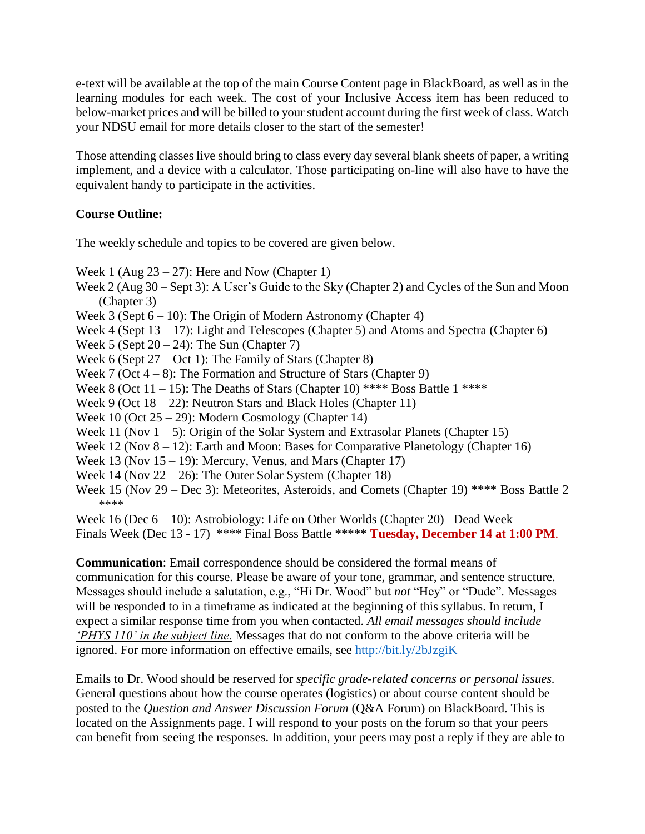e-text will be available at the top of the main Course Content page in BlackBoard, as well as in the learning modules for each week. The cost of your Inclusive Access item has been reduced to below-market prices and will be billed to your student account during the first week of class. Watch your NDSU email for more details closer to the start of the semester!

Those attending classes live should bring to class every day several blank sheets of paper, a writing implement, and a device with a calculator. Those participating on-line will also have to have the equivalent handy to participate in the activities.

## **Course Outline:**

The weekly schedule and topics to be covered are given below.

Week 1 (Aug  $23 - 27$ ): Here and Now (Chapter 1)

- Week 2 (Aug 30 Sept 3): A User's Guide to the Sky (Chapter 2) and Cycles of the Sun and Moon (Chapter 3)
- Week 3 (Sept  $6 10$ ): The Origin of Modern Astronomy (Chapter 4)
- Week 4 (Sept  $13 17$ ): Light and Telescopes (Chapter 5) and Atoms and Spectra (Chapter 6)
- Week 5 (Sept  $20 24$ ): The Sun (Chapter 7)
- Week 6 (Sept 27 Oct 1): The Family of Stars (Chapter 8)
- Week 7 (Oct  $4 8$ ): The Formation and Structure of Stars (Chapter 9)
- Week 8 (Oct  $11 15$ ): The Deaths of Stars (Chapter 10) \*\*\*\* Boss Battle 1 \*\*\*\*
- Week 9 (Oct  $18 22$ ): Neutron Stars and Black Holes (Chapter 11)
- Week 10 (Oct 25 29): Modern Cosmology (Chapter 14)
- Week 11 (Nov  $1 5$ ): Origin of the Solar System and Extrasolar Planets (Chapter 15)
- Week 12 (Nov  $8 12$ ): Earth and Moon: Bases for Comparative Planetology (Chapter 16)
- Week 13 (Nov  $15 19$ ): Mercury, Venus, and Mars (Chapter 17)
- Week 14 (Nov 22 26): The Outer Solar System (Chapter 18)
- Week 15 (Nov 29 Dec 3): Meteorites, Asteroids, and Comets (Chapter 19) \*\*\*\* Boss Battle 2 \*\*\*\*

Week 16 (Dec 6 – 10): Astrobiology: Life on Other Worlds (Chapter 20) Dead Week Finals Week (Dec 13 - 17) \*\*\*\* Final Boss Battle \*\*\*\*\* **Tuesday, December 14 at 1:00 PM**.

**Communication**: Email correspondence should be considered the formal means of communication for this course. Please be aware of your tone, grammar, and sentence structure. Messages should include a salutation, e.g., "Hi Dr. Wood" but *not* "Hey" or "Dude". Messages will be responded to in a timeframe as indicated at the beginning of this syllabus. In return, I expect a similar response time from you when contacted. *All email messages should include 'PHYS 110' in the subject line.* Messages that do not conform to the above criteria will be ignored. For more information on effective emails, see<http://bit.ly/2bJzgiK>

Emails to Dr. Wood should be reserved for *specific grade-related concerns or personal issues.* General questions about how the course operates (logistics) or about course content should be posted to the *Question and Answer Discussion Forum* (Q&A Forum) on BlackBoard. This is located on the Assignments page. I will respond to your posts on the forum so that your peers can benefit from seeing the responses. In addition, your peers may post a reply if they are able to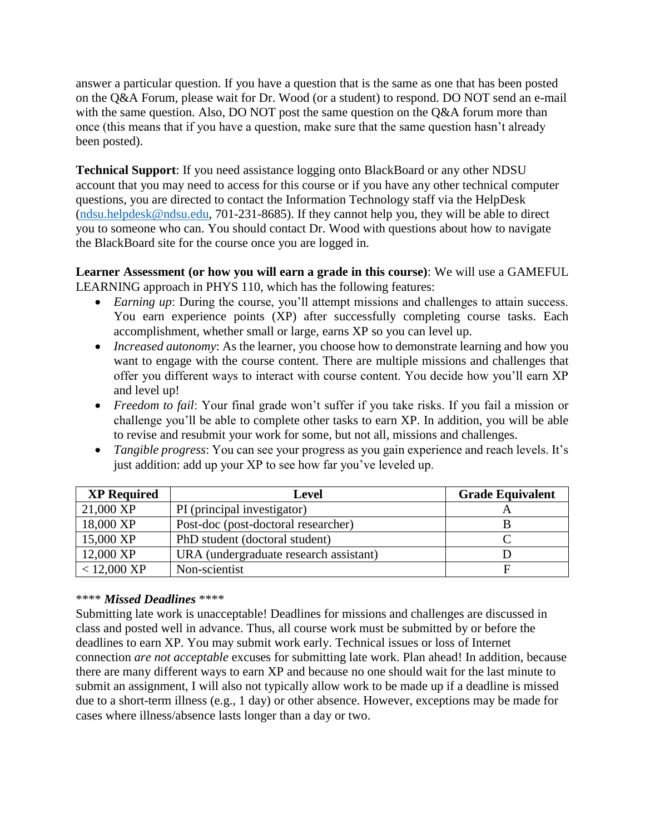answer a particular question. If you have a question that is the same as one that has been posted on the Q&A Forum, please wait for Dr. Wood (or a student) to respond. DO NOT send an e-mail with the same question. Also, DO NOT post the same question on the Q&A forum more than once (this means that if you have a question, make sure that the same question hasn't already been posted).

**Technical Support**: If you need assistance logging onto BlackBoard or any other NDSU account that you may need to access for this course or if you have any other technical computer questions, you are directed to contact the Information Technology staff via the HelpDesk [\(ndsu.helpdesk@ndsu.edu,](mailto:ndsu.helpdesk@ndsu.edu) 701-231-8685). If they cannot help you, they will be able to direct you to someone who can. You should contact Dr. Wood with questions about how to navigate the BlackBoard site for the course once you are logged in.

**Learner Assessment (or how you will earn a grade in this course)**: We will use a GAMEFUL LEARNING approach in PHYS 110, which has the following features:

- *Earning up*: During the course, you'll attempt missions and challenges to attain success. You earn experience points (XP) after successfully completing course tasks. Each accomplishment, whether small or large, earns XP so you can level up.
- *Increased autonomy*: As the learner, you choose how to demonstrate learning and how you want to engage with the course content. There are multiple missions and challenges that offer you different ways to interact with course content. You decide how you'll earn XP and level up!
- *Freedom to fail*: Your final grade won't suffer if you take risks. If you fail a mission or challenge you'll be able to complete other tasks to earn XP. In addition, you will be able to revise and resubmit your work for some, but not all, missions and challenges.
- *Tangible progress*: You can see your progress as you gain experience and reach levels. It's just addition: add up your XP to see how far you've leveled up.

| <b>XP Required</b> | Level                                  | <b>Grade Equivalent</b> |
|--------------------|----------------------------------------|-------------------------|
| 21,000 XP          | PI (principal investigator)            |                         |
| 18,000 XP          | Post-doc (post-doctoral researcher)    |                         |
| 15,000 XP          | PhD student (doctoral student)         |                         |
| 12,000 XP          | URA (undergraduate research assistant) |                         |
| $< 12,000$ XP      | Non-scientist                          |                         |

## \*\*\*\* *Missed Deadlines* \*\*\*\*

Submitting late work is unacceptable! Deadlines for missions and challenges are discussed in class and posted well in advance. Thus, all course work must be submitted by or before the deadlines to earn XP. You may submit work early. Technical issues or loss of Internet connection *are not acceptable* excuses for submitting late work. Plan ahead! In addition, because there are many different ways to earn XP and because no one should wait for the last minute to submit an assignment, I will also not typically allow work to be made up if a deadline is missed due to a short-term illness (e.g., 1 day) or other absence. However, exceptions may be made for cases where illness/absence lasts longer than a day or two.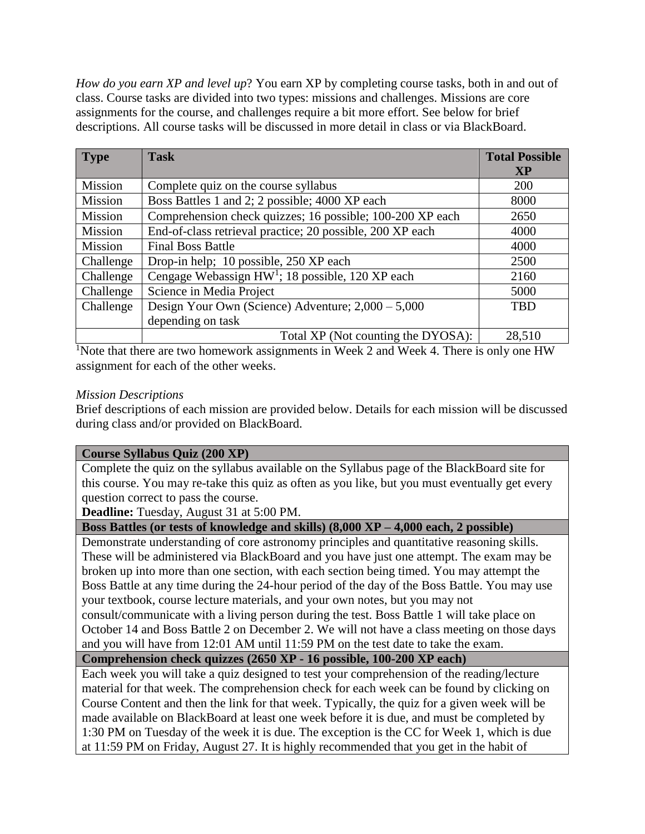*How do you earn XP and level up*? You earn XP by completing course tasks, both in and out of class. Course tasks are divided into two types: missions and challenges. Missions are core assignments for the course, and challenges require a bit more effort. See below for brief descriptions. All course tasks will be discussed in more detail in class or via BlackBoard.

| <b>Type</b>    | <b>Task</b>                                                  | <b>Total Possible</b> |
|----------------|--------------------------------------------------------------|-----------------------|
|                |                                                              | <b>XP</b>             |
| Mission        | Complete quiz on the course syllabus                         | 200                   |
| Mission        | Boss Battles 1 and 2; 2 possible; 4000 XP each               | 8000                  |
| <b>Mission</b> | Comprehension check quizzes; 16 possible; 100-200 XP each    | 2650                  |
| Mission        | End-of-class retrieval practice; 20 possible, 200 XP each    | 4000                  |
| Mission        | <b>Final Boss Battle</b>                                     | 4000                  |
| Challenge      | Drop-in help; 10 possible, 250 XP each                       | 2500                  |
| Challenge      | Cengage Webassign HW <sup>1</sup> ; 18 possible, 120 XP each | 2160                  |
| Challenge      | Science in Media Project                                     | 5000                  |
| Challenge      | Design Your Own (Science) Adventure; 2,000 - 5,000           | <b>TBD</b>            |
|                | depending on task                                            |                       |
|                | Total XP (Not counting the DYOSA):                           | 28,510                |

<sup>1</sup>Note that there are two homework assignments in Week 2 and Week 4. There is only one HW assignment for each of the other weeks.

#### *Mission Descriptions*

Brief descriptions of each mission are provided below. Details for each mission will be discussed during class and/or provided on BlackBoard.

## **Course Syllabus Quiz (200 XP)**

Complete the quiz on the syllabus available on the Syllabus page of the BlackBoard site for this course. You may re-take this quiz as often as you like, but you must eventually get every question correct to pass the course.

**Deadline:** Tuesday, August 31 at 5:00 PM.

#### **Boss Battles (or tests of knowledge and skills) (8,000 XP – 4,000 each, 2 possible)**

Demonstrate understanding of core astronomy principles and quantitative reasoning skills. These will be administered via BlackBoard and you have just one attempt. The exam may be broken up into more than one section, with each section being timed. You may attempt the Boss Battle at any time during the 24-hour period of the day of the Boss Battle. You may use your textbook, course lecture materials, and your own notes, but you may not consult/communicate with a living person during the test. Boss Battle 1 will take place on October 14 and Boss Battle 2 on December 2. We will not have a class meeting on those days and you will have from 12:01 AM until 11:59 PM on the test date to take the exam.

# **Comprehension check quizzes (2650 XP - 16 possible, 100-200 XP each)**

Each week you will take a quiz designed to test your comprehension of the reading/lecture material for that week. The comprehension check for each week can be found by clicking on Course Content and then the link for that week. Typically, the quiz for a given week will be made available on BlackBoard at least one week before it is due, and must be completed by 1:30 PM on Tuesday of the week it is due. The exception is the CC for Week 1, which is due at 11:59 PM on Friday, August 27. It is highly recommended that you get in the habit of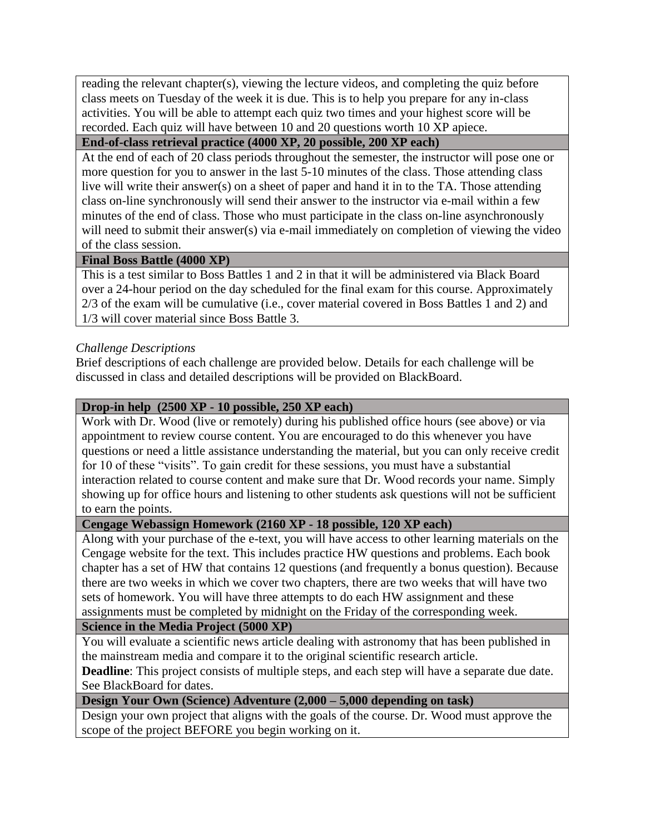reading the relevant chapter(s), viewing the lecture videos, and completing the quiz before class meets on Tuesday of the week it is due. This is to help you prepare for any in-class activities. You will be able to attempt each quiz two times and your highest score will be recorded. Each quiz will have between 10 and 20 questions worth 10 XP apiece.

## **End-of-class retrieval practice (4000 XP, 20 possible, 200 XP each)**

At the end of each of 20 class periods throughout the semester, the instructor will pose one or more question for you to answer in the last 5-10 minutes of the class. Those attending class live will write their answer(s) on a sheet of paper and hand it in to the TA. Those attending class on-line synchronously will send their answer to the instructor via e-mail within a few minutes of the end of class. Those who must participate in the class on-line asynchronously will need to submit their answer(s) via e-mail immediately on completion of viewing the video of the class session.

## **Final Boss Battle (4000 XP)**

This is a test similar to Boss Battles 1 and 2 in that it will be administered via Black Board over a 24-hour period on the day scheduled for the final exam for this course. Approximately 2/3 of the exam will be cumulative (i.e., cover material covered in Boss Battles 1 and 2) and 1/3 will cover material since Boss Battle 3.

## *Challenge Descriptions*

Brief descriptions of each challenge are provided below. Details for each challenge will be discussed in class and detailed descriptions will be provided on BlackBoard.

## **Drop-in help (2500 XP - 10 possible, 250 XP each)**

Work with Dr. Wood (live or remotely) during his published office hours (see above) or via appointment to review course content. You are encouraged to do this whenever you have questions or need a little assistance understanding the material, but you can only receive credit for 10 of these "visits". To gain credit for these sessions, you must have a substantial interaction related to course content and make sure that Dr. Wood records your name. Simply showing up for office hours and listening to other students ask questions will not be sufficient to earn the points.

## **Cengage Webassign Homework (2160 XP - 18 possible, 120 XP each)**

Along with your purchase of the e-text, you will have access to other learning materials on the Cengage website for the text. This includes practice HW questions and problems. Each book chapter has a set of HW that contains 12 questions (and frequently a bonus question). Because there are two weeks in which we cover two chapters, there are two weeks that will have two sets of homework. You will have three attempts to do each HW assignment and these assignments must be completed by midnight on the Friday of the corresponding week.

## **Science in the Media Project (5000 XP)**

You will evaluate a scientific news article dealing with astronomy that has been published in the mainstream media and compare it to the original scientific research article.

**Deadline**: This project consists of multiple steps, and each step will have a separate due date. See BlackBoard for dates.

## **Design Your Own (Science) Adventure (2,000 – 5,000 depending on task)**

Design your own project that aligns with the goals of the course. Dr. Wood must approve the scope of the project BEFORE you begin working on it.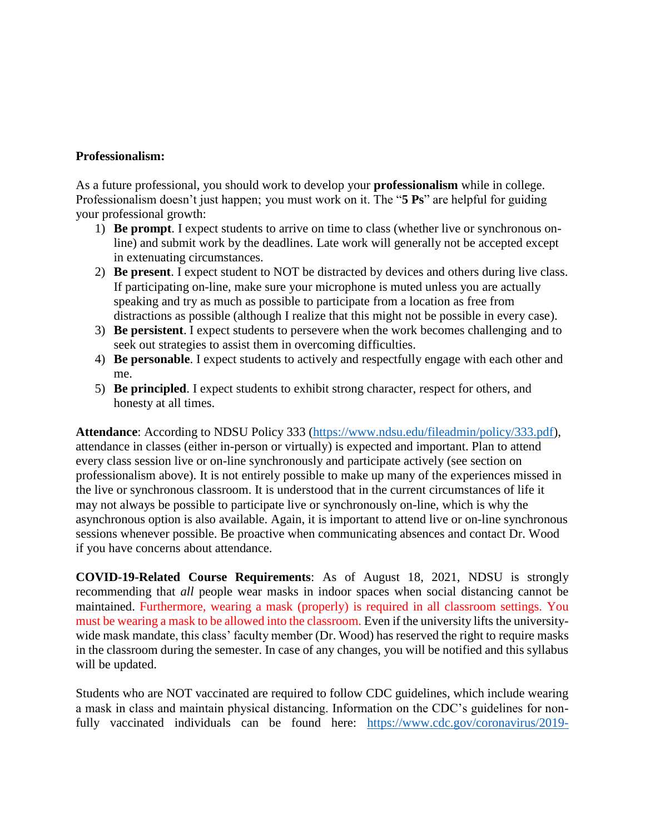#### **Professionalism:**

As a future professional, you should work to develop your **professionalism** while in college. Professionalism doesn't just happen; you must work on it. The "**5 Ps**" are helpful for guiding your professional growth:

- 1) **Be prompt**. I expect students to arrive on time to class (whether live or synchronous online) and submit work by the deadlines. Late work will generally not be accepted except in extenuating circumstances.
- 2) **Be present**. I expect student to NOT be distracted by devices and others during live class. If participating on-line, make sure your microphone is muted unless you are actually speaking and try as much as possible to participate from a location as free from distractions as possible (although I realize that this might not be possible in every case).
- 3) **Be persistent**. I expect students to persevere when the work becomes challenging and to seek out strategies to assist them in overcoming difficulties.
- 4) **Be personable**. I expect students to actively and respectfully engage with each other and me.
- 5) **Be principled**. I expect students to exhibit strong character, respect for others, and honesty at all times.

**Attendance**: According to NDSU Policy 333 [\(https://www.ndsu.edu/fileadmin/policy/333.pdf\)](https://www.ndsu.edu/fileadmin/policy/333.pdf), attendance in classes (either in-person or virtually) is expected and important. Plan to attend every class session live or on-line synchronously and participate actively (see section on professionalism above). It is not entirely possible to make up many of the experiences missed in the live or synchronous classroom. It is understood that in the current circumstances of life it may not always be possible to participate live or synchronously on-line, which is why the asynchronous option is also available. Again, it is important to attend live or on-line synchronous sessions whenever possible. Be proactive when communicating absences and contact Dr. Wood if you have concerns about attendance.

**COVID-19-Related Course Requirements**: As of August 18, 2021, NDSU is strongly recommending that *all* people wear masks in indoor spaces when social distancing cannot be maintained. Furthermore, wearing a mask (properly) is required in all classroom settings. You must be wearing a mask to be allowed into the classroom. Even if the university lifts the universitywide mask mandate, this class' faculty member (Dr. Wood) has reserved the right to require masks in the classroom during the semester. In case of any changes, you will be notified and this syllabus will be updated.

Students who are NOT vaccinated are required to follow CDC guidelines, which include wearing a mask in class and maintain physical distancing. Information on the CDC's guidelines for nonfully vaccinated individuals can be found here: [https://www.cdc.gov/coronavirus/2019-](https://www.cdc.gov/coronavirus/2019-ncov/prevent-getting-sick/prevention.html)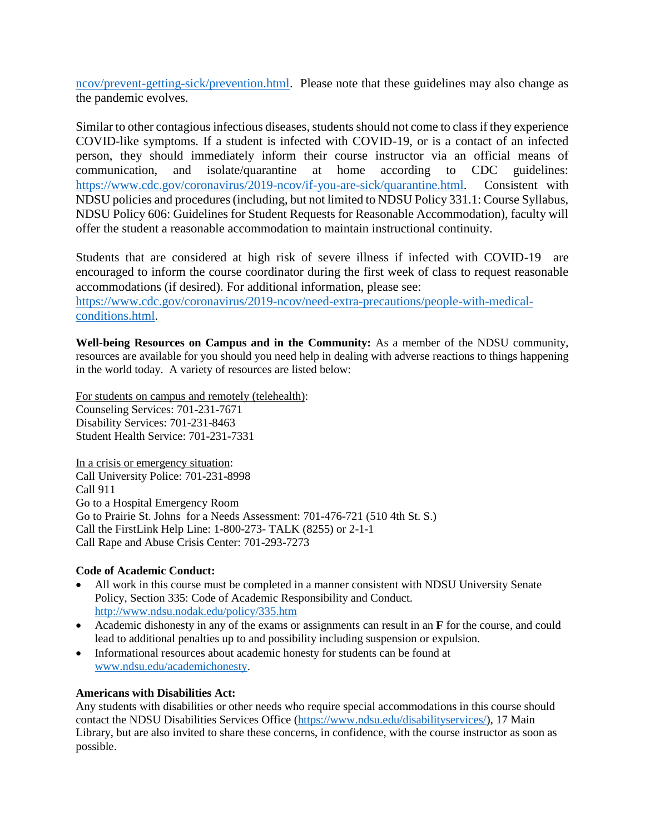[ncov/prevent-getting-sick/prevention.html.](https://www.cdc.gov/coronavirus/2019-ncov/prevent-getting-sick/prevention.html) Please note that these guidelines may also change as the pandemic evolves.

Similar to other contagious infectious diseases, students should not come to class if they experience COVID-like symptoms. If a student is infected with COVID-19, or is a contact of an infected person, they should immediately inform their course instructor via an official means of communication, and isolate/quarantine at home according to CDC guidelines: [https://www.cdc.gov/coronavirus/2019-ncov/if-you-are-sick/quarantine.html.](https://www.cdc.gov/coronavirus/2019-ncov/if-you-are-sick/quarantine.html) Consistent with NDSU policies and procedures (including, but not limited to NDSU Policy 331.1: Course Syllabus, NDSU Policy 606: Guidelines for Student Requests for Reasonable Accommodation), faculty will offer the student a reasonable accommodation to maintain instructional continuity.

Students that are considered at high risk of severe illness if infected with COVID-19 are encouraged to inform the course coordinator during the first week of class to request reasonable accommodations (if desired). For additional information, please see:

[https://www.cdc.gov/coronavirus/2019-ncov/need-extra-precautions/people-with-medical](https://www.cdc.gov/coronavirus/2019-ncov/need-extra-precautions/people-with-medical-conditions.html)[conditions.html.](https://www.cdc.gov/coronavirus/2019-ncov/need-extra-precautions/people-with-medical-conditions.html)

**Well-being Resources on Campus and in the Community:** As a member of the NDSU community, resources are available for you should you need help in dealing with adverse reactions to things happening in the world today. A variety of resources are listed below:

For students on campus and remotely (telehealth): Counseling Services: 701-231-7671 Disability Services: 701-231-8463 Student Health Service: 701-231-7331

In a crisis or emergency situation: Call University Police: 701-231-8998 Call 911 Go to a Hospital Emergency Room Go to Prairie St. Johns for a Needs Assessment: 701-476-721 (510 4th St. S.) Call the FirstLink Help Line: 1-800-273- TALK (8255) or 2-1-1 Call Rape and Abuse Crisis Center: 701-293-7273

#### **Code of Academic Conduct:**

- All work in this course must be completed in a manner consistent with NDSU University Senate Policy, Section 335: Code of Academic Responsibility and Conduct. <http://www.ndsu.nodak.edu/policy/335.htm>
- Academic dishonesty in any of the exams or assignments can result in an **F** for the course, and could lead to additional penalties up to and possibility including suspension or expulsion.
- Informational resources about academic honesty for students can be found at [www.ndsu.edu/academichonesty.](http://www.ndsu.edu/academichonesty)

#### **Americans with Disabilities Act:**

Any students with disabilities or other needs who require special accommodations in this course should contact the NDSU Disabilities Services Office [\(https://www.ndsu.edu/disabilityservices/\)](https://www.ndsu.edu/disabilityservices/), 17 Main Library, but are also invited to share these concerns, in confidence, with the course instructor as soon as possible.